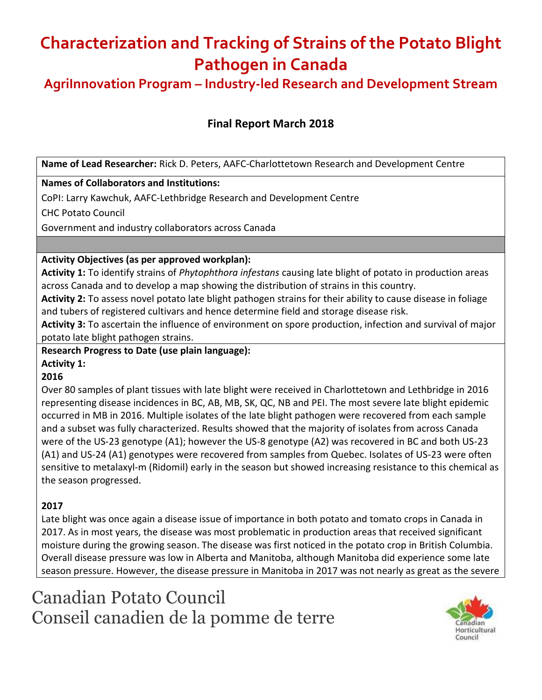**AgriInnovation Program – Industry-led Research and Development Stream**

## **Final Report March 2018**

**Name of Lead Researcher:** Rick D. Peters, AAFC-Charlottetown Research and Development Centre

#### **Names of Collaborators and Institutions:**

CoPI: Larry Kawchuk, AAFC-Lethbridge Research and Development Centre

CHC Potato Council

Government and industry collaborators across Canada

#### **Activity Objectives (as per approved workplan):**

**Activity 1:** To identify strains of *Phytophthora infestans* causing late blight of potato in production areas across Canada and to develop a map showing the distribution of strains in this country.

**Activity 2:** To assess novel potato late blight pathogen strains for their ability to cause disease in foliage and tubers of registered cultivars and hence determine field and storage disease risk.

**Activity 3:** To ascertain the influence of environment on spore production, infection and survival of major potato late blight pathogen strains.

**Research Progress to Date (use plain language):**

### **Activity 1:**

### **2016**

Over 80 samples of plant tissues with late blight were received in Charlottetown and Lethbridge in 2016 representing disease incidences in BC, AB, MB, SK, QC, NB and PEI. The most severe late blight epidemic occurred in MB in 2016. Multiple isolates of the late blight pathogen were recovered from each sample and a subset was fully characterized. Results showed that the majority of isolates from across Canada were of the US-23 genotype (A1); however the US-8 genotype (A2) was recovered in BC and both US-23 (A1) and US-24 (A1) genotypes were recovered from samples from Quebec. Isolates of US-23 were often sensitive to metalaxyl-m (Ridomil) early in the season but showed increasing resistance to this chemical as the season progressed.

## **2017**

Late blight was once again a disease issue of importance in both potato and tomato crops in Canada in 2017. As in most years, the disease was most problematic in production areas that received significant moisture during the growing season. The disease was first noticed in the potato crop in British Columbia. Overall disease pressure was low in Alberta and Manitoba, although Manitoba did experience some late season pressure. However, the disease pressure in Manitoba in 2017 was not nearly as great as the severe

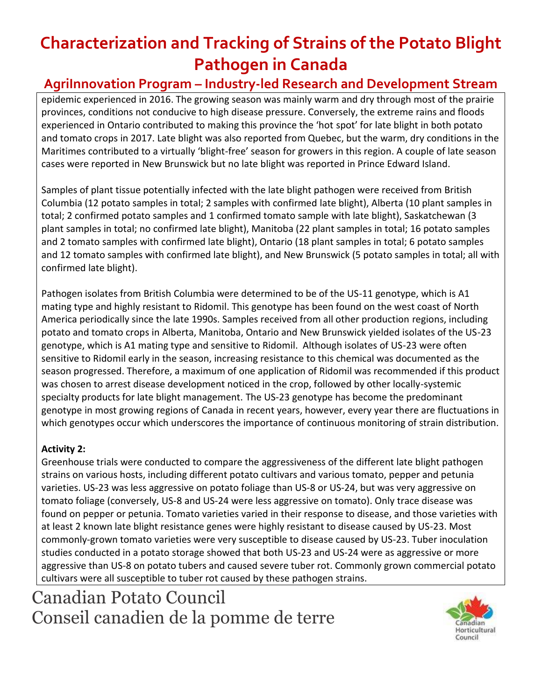# **AgriInnovation Program – Industry-led Research and Development Stream**

epidemic experienced in 2016. The growing season was mainly warm and dry through most of the prairie provinces, conditions not conducive to high disease pressure. Conversely, the extreme rains and floods experienced in Ontario contributed to making this province the 'hot spot' for late blight in both potato and tomato crops in 2017. Late blight was also reported from Quebec, but the warm, dry conditions in the Maritimes contributed to a virtually 'blight-free' season for growers in this region. A couple of late season cases were reported in New Brunswick but no late blight was reported in Prince Edward Island.

Samples of plant tissue potentially infected with the late blight pathogen were received from British Columbia (12 potato samples in total; 2 samples with confirmed late blight), Alberta (10 plant samples in total; 2 confirmed potato samples and 1 confirmed tomato sample with late blight), Saskatchewan (3 plant samples in total; no confirmed late blight), Manitoba (22 plant samples in total; 16 potato samples and 2 tomato samples with confirmed late blight), Ontario (18 plant samples in total; 6 potato samples and 12 tomato samples with confirmed late blight), and New Brunswick (5 potato samples in total; all with confirmed late blight).

Pathogen isolates from British Columbia were determined to be of the US-11 genotype, which is A1 mating type and highly resistant to Ridomil. This genotype has been found on the west coast of North America periodically since the late 1990s. Samples received from all other production regions, including potato and tomato crops in Alberta, Manitoba, Ontario and New Brunswick yielded isolates of the US-23 genotype, which is A1 mating type and sensitive to Ridomil. Although isolates of US-23 were often sensitive to Ridomil early in the season, increasing resistance to this chemical was documented as the season progressed. Therefore, a maximum of one application of Ridomil was recommended if this product was chosen to arrest disease development noticed in the crop, followed by other locally-systemic specialty products for late blight management. The US-23 genotype has become the predominant genotype in most growing regions of Canada in recent years, however, every year there are fluctuations in which genotypes occur which underscores the importance of continuous monitoring of strain distribution.

## **Activity 2:**

Greenhouse trials were conducted to compare the aggressiveness of the different late blight pathogen strains on various hosts, including different potato cultivars and various tomato, pepper and petunia varieties. US-23 was less aggressive on potato foliage than US-8 or US-24, but was very aggressive on tomato foliage (conversely, US-8 and US-24 were less aggressive on tomato). Only trace disease was found on pepper or petunia. Tomato varieties varied in their response to disease, and those varieties with at least 2 known late blight resistance genes were highly resistant to disease caused by US-23. Most commonly-grown tomato varieties were very susceptible to disease caused by US-23. Tuber inoculation studies conducted in a potato storage showed that both US-23 and US-24 were as aggressive or more aggressive than US-8 on potato tubers and caused severe tuber rot. Commonly grown commercial potato cultivars were all susceptible to tuber rot caused by these pathogen strains.

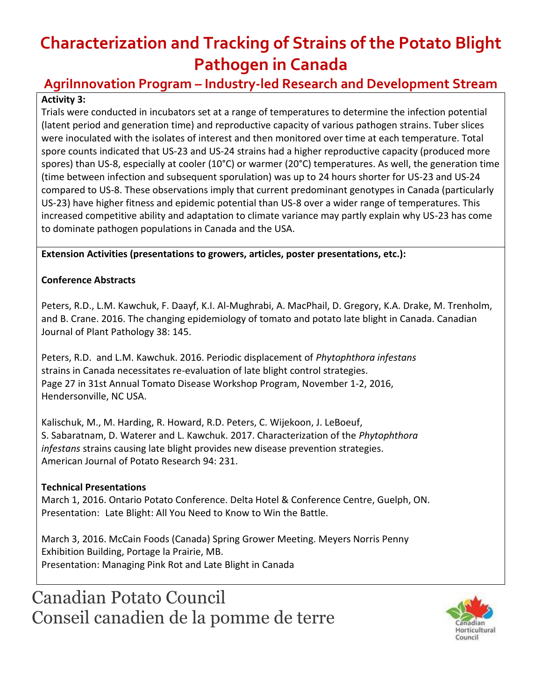# **AgriInnovation Program – Industry-led Research and Development Stream**

## **Activity 3:**

Trials were conducted in incubators set at a range of temperatures to determine the infection potential (latent period and generation time) and reproductive capacity of various pathogen strains. Tuber slices were inoculated with the isolates of interest and then monitored over time at each temperature. Total spore counts indicated that US-23 and US-24 strains had a higher reproductive capacity (produced more spores) than US-8, especially at cooler (10°C) or warmer (20°C) temperatures. As well, the generation time (time between infection and subsequent sporulation) was up to 24 hours shorter for US-23 and US-24 compared to US-8. These observations imply that current predominant genotypes in Canada (particularly US-23) have higher fitness and epidemic potential than US-8 over a wider range of temperatures. This increased competitive ability and adaptation to climate variance may partly explain why US-23 has come to dominate pathogen populations in Canada and the USA.

**Extension Activities (presentations to growers, articles, poster presentations, etc.):**

### **Conference Abstracts**

Peters, R.D., L.M. Kawchuk, F. Daayf, K.I. Al-Mughrabi, A. MacPhail, D. Gregory, K.A. Drake, M. Trenholm, and B. Crane. 2016. The changing epidemiology of tomato and potato late blight in Canada. Canadian Journal of Plant Pathology 38: 145.

Peters, R.D. and L.M. Kawchuk. 2016. Periodic displacement of *Phytophthora infestans* strains in Canada necessitates re-evaluation of late blight control strategies. Page 27 in 31st Annual Tomato Disease Workshop Program, November 1-2, 2016, Hendersonville, NC USA.

Kalischuk, M., M. Harding, R. Howard, R.D. Peters, C. Wijekoon, J. LeBoeuf, S. Sabaratnam, D. Waterer and L. Kawchuk. 2017. Characterization of the *Phytophthora infestans* strains causing late blight provides new disease prevention strategies. American Journal of Potato Research 94: 231.

### **Technical Presentations**

March 1, 2016. Ontario Potato Conference. Delta Hotel & Conference Centre, Guelph, ON. Presentation: Late Blight: All You Need to Know to Win the Battle.

March 3, 2016. McCain Foods (Canada) Spring Grower Meeting. Meyers Norris Penny Exhibition Building, Portage la Prairie, MB. Presentation: Managing Pink Rot and Late Blight in Canada

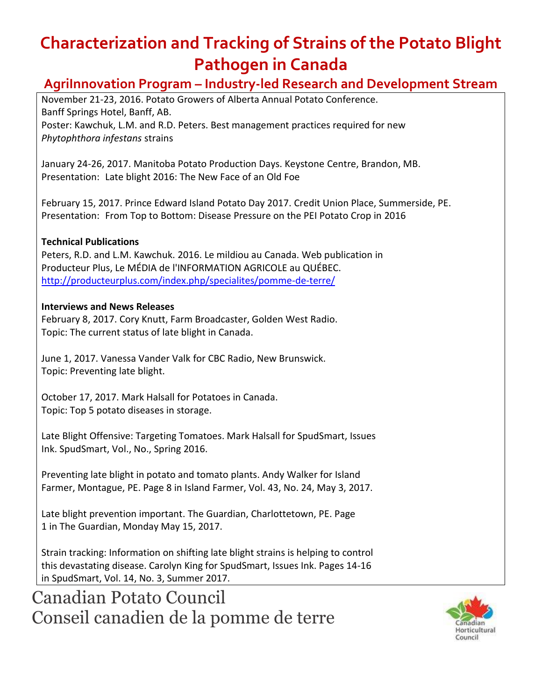# **AgriInnovation Program – Industry-led Research and Development Stream**

November 21-23, 2016. Potato Growers of Alberta Annual Potato Conference. Banff Springs Hotel, Banff, AB. Poster: Kawchuk, L.M. and R.D. Peters. Best management practices required for new *Phytophthora infestans* strains

January 24-26, 2017. Manitoba Potato Production Days. Keystone Centre, Brandon, MB. Presentation: Late blight 2016: The New Face of an Old Foe

February 15, 2017. Prince Edward Island Potato Day 2017. Credit Union Place, Summerside, PE. Presentation: From Top to Bottom: Disease Pressure on the PEI Potato Crop in 2016

### **Technical Publications**

Peters, R.D. and L.M. Kawchuk. 2016. Le mildiou au Canada. Web publication in Producteur Plus, Le MÉDIA de l'INFORMATION AGRICOLE au QUÉBEC. <http://producteurplus.com/index.php/specialites/pomme-de-terre/>

### **Interviews and News Releases**

February 8, 2017. Cory Knutt, Farm Broadcaster, Golden West Radio. Topic: The current status of late blight in Canada.

June 1, 2017. Vanessa Vander Valk for CBC Radio, New Brunswick. Topic: Preventing late blight.

October 17, 2017. Mark Halsall for Potatoes in Canada. Topic: Top 5 potato diseases in storage.

Late Blight Offensive: Targeting Tomatoes. Mark Halsall for SpudSmart, Issues Ink. SpudSmart, Vol., No., Spring 2016.

Preventing late blight in potato and tomato plants. Andy Walker for Island Farmer, Montague, PE. Page 8 in Island Farmer, Vol. 43, No. 24, May 3, 2017.

Late blight prevention important. The Guardian, Charlottetown, PE. Page 1 in The Guardian, Monday May 15, 2017.

Strain tracking: Information on shifting late blight strains is helping to control this devastating disease. Carolyn King for SpudSmart, Issues Ink. Pages 14-16 in SpudSmart, Vol. 14, No. 3, Summer 2017.